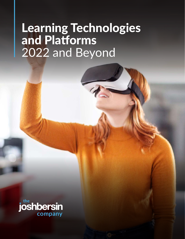# Learning Technologies and Platforms 2022 and Beyond

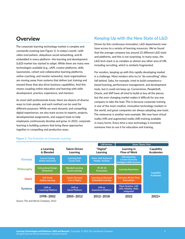### **Overview**

The corporate learning technology market is complex and constantly evolving (see Figure 1). In today's world—with video everywhere, ubiquitous social networking, and AI embedded in every platform—the learning and development (L&D) market has started to adapt. While there are many new technologies available (e.g., xAPI, creator platforms, skills taxonomies, cohort and collaborative learning platforms, online coaching, and mentor networks), most organizations are moving away from systems that deliver just training and toward those that also drive business capabilities. And this means coupling online education and learning with skills development, practice, experience, and mentors.

As most L&D professionals know, there are dozens of diverse ways to train people, and each method can be used for different purposes. While we want dynamic and compelling digital experiences, we also want access to experts, projects, developmental assignments, and support tools to help employees continuously develop and grow. In 2022, corporate learning is building systems that bring these approaches together in compelling and productive ways.

### **Keeping Up with the New State of L&D**

Driven by this continuous innovation, L&D departments now have access to a variety of learning resources. We've found that the average company has around 22 different L&D tools and platforms, and this is not surprising. In many ways, the L&D tech stack is as complex as almost any other area of HR, including recruiting, which is similarly fragmented.

For vendors, keeping up with this rapidly developing market is a challenge. Most vendors who try to "do everything" often fall behind. Saba, for example, tried to build competencybased learning, performance management, and development tools, but it could not keep up. Cornerstone, PeopleSoft, Oracle, and SAP have all tried to build or buy all the pieces, but the ever-changing market makes it difficult for any one company to take the lead. This is because corporate training is one of the most creative, innovative technology markets in the world, and great companies are always adopting new tools. The metaverse is another new example: We now have virtual reality (VR) and augmented reality (AR) training available in many forms. Every time a new technology is invented, someone tries to use it for education and training.



#### **Figure 1:** The Evolution of Corporate Learning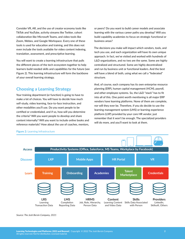Consider VR, AR, and the use of creator economy tools like TikTok and YouTube, activity streams like Twitter, cohort collaboration like Microsoft Teams, and video tools like Zoom, Webex, and Google Workspace. Every one of these tools is used for education and training, and this does not even include the tools available for video content indexing, translation, assessment, and prescriptive learning.

You will want to create a learning infrastructure that pulls the different pieces of the tech ecosystem together to help learners build needed skills and capabilities for the future (see Figure 2). This learning infrastructure will form the backbone of your overall learning strategy.

### **Choosing a Learning Strategy**

Your training department (or function) is going to have to make a lot of choices. You will have to decide how much self-study, video learning, face-to-face instruction, and other modalities you'll use. Do you want people to be certified or credentialed, and if so, how will you determine the criteria? Will you want people to develop and share content internally? Will you want to include online books and reference materials? How about the use of coaches, mentors, or peers? Do you want to build career models and associate learning with the various career paths you develop? Will you build capability academies to focus on strategic functional or business areas?

The decisions you make will impact which vendors, tools, and tech you use, and each organization will have its own unique approach. In fact, we've visited and worked with hundreds of L&D organizations, and no two are the same. Some are highly centralized and structured. Some are highly decentralized and run by business unit or functional leaders. And the best will have a blend of both, using what we call a "federated" structure.

And, of course, each company has its own enterprise resource planning (ERP), human capital management (HCM), payroll, and other employee systems. So, the L&D "stack" has to fit into all of this. One point worth mentioning is all major ERP vendors have learning platforms. None of them are complete, nor will they ever be. Therefore, if you do decide to use the learning management system (LMS) or learning experience platform (LXP) provided by your core HR vendor, just remember that it won't be enough. The specialized providers will do more, and you'll want to look at them.



#### **Figure 2: Learning Infrastructure**

*Source: The Josh Bersin Company, 2021*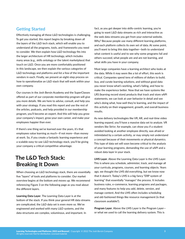### **Getting Started**

Effectively managing all these L&D technologies is challenging. To get you started, this report begins by breaking down all the layers of the L&D tech stack, which will enable you to understand all the programs, tools, and frameworks you need to consider. We then explain how L&D technology fits into the larger architecture of HR technology, which includes many areas (e.g., skills ontology or the talent marketplace) that touch on L&D. Once you are more comfortably positioned in this landscape, we then explain the various categories of L&D technology and platforms and list a few of the important vendors in each. Finally, we present an eight-step process on how to operationalize an L&D stack that will work within your own company.

Our courses in the Josh Bersin Academy and the SuperClasses offered as part of our corporate membership program will give you more details. We are here to advise, consult, and help you with your strategy. If you read this report and use the rest of the articles, podcasts, and help provided in our membership program, you'll become an expert. And this will help you grow your company's impact, grow your own career, and make your employees happier than ever.

If there's one thing we've learned over the years, it's that employees value learning as much—if not more—than money at work. So, if you create a fantastic learning experience and a scalable easy-to-use L&D technology stack, you'll be giving your company a critical competitive advantage.

### **The L&D Tech Stack: Breaking It Down**

When choosing an L&D technology stack, there are essentially five "layers" of tools and platforms to consider. Our market overview begins at the bottom and moves up. We recommend referencing Figure 3 on the following page as you read about the different layers.

**Learning Data Layer**. The Learning Data Layer is at the bottom of the stack*.* If you think your general HR data streams are complicated, the L&D data set is even more so. We've engineered and worked with many L&D systems, and the data structures are complex, voluminous, and important. In

fact, as you get deeper into skills-centric learning, you're going to want L&D data streams as rich and interactive as the web data streams you get from your external website. Why? Because people use many different learning platforms, and each platform collects its own set of data. At some point, you'll want to bring this data together—both to understand what content is useful and to see why some programs fail and others succeed, what people are and are not learning, and what skills you have in your company.

Most large companies have a learning architect who looks at the data. While it may seem like a lot of effort, this work is critical. Companies spend tens of millions of dollars to build, buy, and curate learning solutions, and without good data you never know what's working, what's failing, and how to make the experience better. Now that we have systems like LRS (learning record store) products that track and store xAPI statements, we can look at user behavior in detail and see who's doing what, how well they're learning, and the impact of this activity on their engagement, growth, and overall business results.

As new delivery technologies like VR, AR, and real-time video learning expand, you'll have a massive data set to analyze. VR vendors like Strivr, for example, can show you if a student avoided looking at another employee directly, was afraid or intimidated by a certain activity, or may simply not understand a concept because of their movements or physical dynamics. This type of data set will soon become critical to the analysis of your learning programs, demanding the use of xAPI and a robust data layer in your stack.

**LMS Layer**. Above the Learning Data Layer is the LMS Layer. This is where you schedule, administer, track, and manage all your curricula, programs, courses, and learning objects. Years ago, we thought the LMS did everything, but we know now that it doesn't. Today's LMS is a big fancy "ERP system of learning" that essentially "manages" the process. It includes business rules, e-commerce, learning programs and packages, and many features to help you add, delete, version, and manage content. And the LMS often includes scheduling and old-fashioned things like resource management (is that classroom available?).

**Program Layer**. Above the LMS Layer is the Program Layer or what we used to call the learning delivery system. This is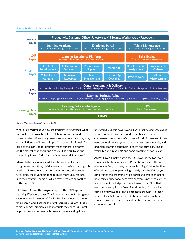#### **Figure 3:** The L&D Tech Stack



*Source: The Josh Bersin Company, 2022*

where you worry about how the program is structured, what role instructors play, how the collaboration works, and what types of interactions, assignments, submissions, practice, labs, or simulations you'll need. No platform does all this well. And despite the many good "program management" platforms on the market, when you find one you like, you'll also find something it doesn't do. But that's why we call it a "layer."

Many platform vendors start their business as learning program systems (they build a new way to deliver training, mix media, or integrate instructors or mentors into the process). Over time, these vendors tend to build more LMS features into their systems, some of which may integrate or conflict with your LMS.

**LXP Layer**. Above the Program Layer is the LXP Layer or Learning Discovery Layer. This is where the talent intelligence system (or skills taxonomy) fits in. Employees need a way to find, search, and discover the right learning program—that is, which courses, programs, and materials they need. Our past approach was to let people browse a course catalog (like a

university), but this never worked. And just having employees search on their own is no good either because most companies have dozens of courses with similar names. So, we need an intelligence system that arranges, recommends, and organizes learning content into paths and curricula. This is typically done in an LXP, and some amazing options exist.

**Access Layer**. Finally, above the LXP Layer is the top layer known as the Access Layer or Presentation Layer. This is where you find, discover, or access learning right in the flow of work. You can let people log directly into the LXP, or you can arrange the programs into a portal and create an online university, a functional academy, or even expose the content in your talent marketplace or employee portal. Now that we have learning in the flow of work tools (this space has come a long way), they can be accessed through Microsoft Teams, Slack, Salesforce, or just about any other system your employees use (e.g., the call center system, the nurse scheduling portal).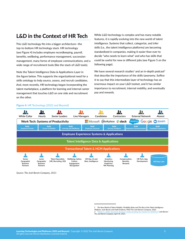### **L&D in the Context of HR Tech**

This L&D technology fits into a bigger architecture—the top-to-bottom HR technology stack. HR technology (see Figure 4) includes employee recordkeeping, payroll, benefits, wellbeing, performance management, succession management, many forms of employee communications, and a wide range of recruitment tools (like the stack of L&D tools).

Note the Talent Intelligence Data & Applications Layer in the figure below. This supports the organizational need for a skills ontology to help source, assess, and recruit candidates. And, more recently, HR technology began incorporating the talent marketplace, a platform for learning and internal career management that touches L&D on one side and recruitment on the other.

While L&D technology is complex and has many notable features, it is rapidly evolving into the new world of talent intelligence. Systems that collect, categorize, and infer skills (i.e., the talent intelligence platforms) are becoming standardized in companies, making it easier than ever to decide "who needs to learn what" and who has skills that could be useful for new or different jobs (see Figure 5 on the following page).

We have several research studies $^{\rm 1}$  and an in-depth podcast $^{\rm 2}$ that describe the importance of the skills taxonomy. Suffice it to say that this intermediate layer of technology has an enormous impact on your L&D toolset, and it has similar importance to recruitment, internal mobility, and eventually pay and rewards.

#### **Figure 4:** HR Technology (2022 and Beyond)



*Source: The Josh Bersin Company, 2021*

*<sup>1</sup> The New World of Talent Mobility: Flexibility Rules and The Rise of the Talent Intelligence Platform,* Josh Bersin and Kathi Enderes, PhD/The Josh Bersin Company, 2021. *2 "*[What Is a Skills Taxonomy Anyway? Understanding the Market for SkillsTech](https://joshbersin.com/podcast/what-is-a-skills-taxonomy-anyway-understanding-the-market-for-skillstech/)*," Josh Bersin/ The Josh Bersin Company, April 18, 2021.*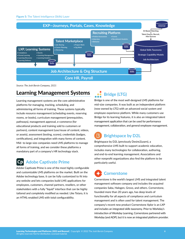#### **Figure 5:** The Talent Intelligence (Skills) Layer



*Source: The Josh Bersin Company, 2021*

## **Learning Management Systems**

Learning management systems are the core administrative platforms for managing, tracking, scheduling, and administering all forms of training. These systems typically include resource management (scheduling events, reserving rooms, or books), curriculum management (prerequisites, pathways), management approval, e-commerce (for educational products and training sold to customers or partners), content management (use/reuse of content, videos, or assets), assessment (testing, scores), credentials (badges, certifications), and integration with many forms of content. Mid- to large-size companies need LMS platforms to manage all forms of training, and we consider these platforms a mandatory part of a company's HR technology stack.

### **Adobe Captivate Prime**

Adobe Captivate Prime is one of the most highly configurable and customizable LMS platforms on the market. Built on the Adobe technology base, it can be fully customized to fit into any website and lets companies build LMS applications for employees, customers, channel partners, resellers, or other stakeholders with a fully "liquid" interface that can be highly tailored and completely modified as needed. Like Totara, it is an HTML-enabled LMS with total configurability.

# **Bridge (LTG)**

Bridge is one of the most well-designed LMS platforms for mid-size companies. It was built as an independent platform (now owned by LTG) with an advanced social system and employee experience platform. While many customers use Bridge for its learning features, it is also an integrated talent management application that can be used for performance management, collaboration, and general employee management.

## **Brightspace by D2L**

Brightspace by D2L (previously Desire2Learn), a comprehensive LMS built to support academic education, includes many technologies for collaboration, authoring, and end-to-end learning management. Associations and other nonprofit organizations also find the platform to be particularly useful.

# **Cornerstone**

Cornerstone is the world's largest LMS and integrated talent management software company and includes the acquired companies Saba, Halogen, Grovo, and others. Cornerstone, founded more than 20 years ago, has deep levels of functionality for all aspects of compliance and curriculum management and is often used for talent management. The company's recent new product Cornerstone Xplor is an LXP and includes an integrated skills taxonomy. Prior to Workday's introduction of Workday Learning, Cornerstone partnered with Workday (and ADP), but it is now an integrated platform provider.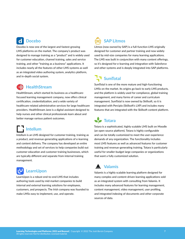#### $\mathbf d$ **Docebo**

Docebo is now one of the largest and fastest-growing LMS platforms on the market. The company's product was designed to manage training as a "product" and is widely used for customer education, channel training, sales and service training, and other "training as a business" applications. It includes nearly all the features of other LMS systems as well as an integrated video authoring system, analytics platform, and in-depth social system.

### **HealthStream**

HealthStream, which started its business as a healthcarefocused learning management company, now offers clinical certification, credentialization, and a wide variety of healthcare-related administrative services for large healthcare providers. HealthStream Jane is a digital assistant designed to help nurses and other clinical professionals learn about and better manage various patient outcomes.

# **Intellum**

Intellum is an LMS designed for customer training, training as a product, and revenue-generating applications of e-learning and content delivery. The company has developed an entire methodology and set of services to help companies build out customer education and customer training businesses, which are typically different and separate from internal training management.

# **LearnUpon**

LearnUpon is a robust end-to-end LMS that includes authoring tools used by mid-market companies to build internal and external learning solutions for employees, customers, and prospects. The Irish company was founded to make LMSs easy to implement, use, and operate.

# **SAP Litmos**

Litmos (now owned by SAP) is a full-function LMS originally designed for customer and partner training and now widely used by mid-size companies for many learning applications. The LMS was built in conjunction with many content offerings, so it's designed for e-learning and integration with Salesforce and other systems and is deeply integrated into SAP platforms.

# **SumTotal**

SumTotal is one of the more mature and high-functioning LMSs on the market. Its origins go back to early LMS products, and the platform is widely used for compliance, global training management, and many forms of career and curriculum management. SumTotal is now owned by Skillsoft, so it is integrated with Percipio (Skillsoft's LXP) and includes many features that are integrated with the Skillsoft content platform.

 **Totara**

Totara is a sophisticated, highly scalable LMS built on Moodle (an open source platform). Totara is highly configurable and can be totally customized to meet the user experience demands of any organization. The functionality includes most LMS features as well as advanced features for customer training and revenue-generating training. Totara is particularly useful for smaller-budget large companies or organizations that want a fully customized solution.

# **Valamis**

Valamis is a highly scalable learning platform designed for many complex and content-driven learning applications sold as an integrated system with consulting from Valamis. It includes many advanced features for learning management, content management, video management, user profiling, and integrated indexing of documents and other corporate sources of data.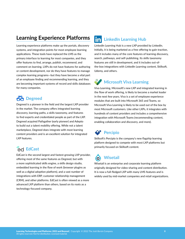### **Learning Experience Platforms**

Learning experience platforms make up the portals, discovery systems, and integration points for most employee learning applications. These tools have replaced the LMS as the primary interface to learning for most companies, and they offer features to find, arrange, publish, recommend, and comment on learning. LXPs do not have features for authoring or content development, nor do they have features to manage complex learning programs—but they have become a vital part of an employee finding and recommending learning, and they are becoming important systems of record and skills databases for many companies.

# **Degreed**

Degreed is a pioneer in the field and the largest LXP provider in the market. The company offers integrated learning discovery, learning paths, a skills taxonomy, and features to find experts and credentialed people as part of the LXP. Degreed acquired Pathgather (early pioneer) and Adepto to build out a talent mobility offering. While not a talent marketplace, Degreed does integrate with most learning content providers and is an excellent solution for integrated LXP features.

# **EdCast**

EdCast is the second largest and fastest-growing LXP provider, offering most of the same features as Degreed, but with a more sophisticated skills engine, a skills design studio, embedded learning in the flow of work (browser plugins as well as a digital adoption platform), and a vast number of integrations with ERP, customer relationship management (CRM), and other platforms. EdCast is often viewed as a more advanced LXP platform than others, based on its roots as a technology-focused company.

# **LinkedIn Learning Hub**

LinkedIn Learning Hub is a new LXP provided by LinkedIn. Initially, it is being marketed as a free offering to gain traction, and it includes many of the core features of learning discovery, search, pathways, and self-publishing. Its skills taxonomy features are still in development, and it includes out-ofthe-box integrations with LinkedIn Learning content, Skillsoft, Udemy, and others.

# **Microsoft Viva Learning**

Viva Learning, Microsoft's new LXP and integrated learning in the flow of work offering, is likely to become a market leader in the next few years. Viva is a set of employee experience modules that are built into Microsoft 365 and Teams, so Microsoft Viva Learning is likely to be used out of the box by most Microsoft customers. Like other LXPs, it integrates with hundreds of content providers and includes a comprehensive integration with Microsoft Teams (recommending content, enabling collaboration and discovery, and more).

# **Percipio**

Skillsoft's Percipio is the company's new flagship learning platform designed to compete with most LXP platforms but primarily focused on Skillsoft content.

### **o Wisetail**

Wisetail is an enterprise and corporate learning platform originally designed for video-sharing and content distribution. It is now a full-fledged LXP with many LMS features and is widely used by mid-market companies and retail organizations.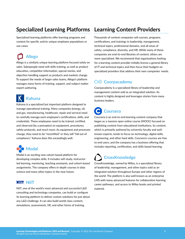## **Specialized Learning Platforms Learning Content Providers**

Specialized learning platforms offer learning programs and content for specific and/or unique employee populations or use cases.

# **Allego**

Allego is a similarly unique learning platform focused solely on sales. Salespeople need soft skills training, as well as product education, competitor information, special stories, and objection handling support as products and markets change. To support the needs of larger sales teams, Allego's platform manages many forms of training, support, and subject matter expert authoring.

# **Kahuna**

Kahuna is a specialized but important platform designed to manage operational training. Many companies (energy, oil, and gas, manufacturing, healthcare, repair and service) need to carefully manage each employee's certifications, skills, and credentials. These employees need to be trained, certified, and observed (by a preceptor) on equipment, procedures, safety protocols, and much more. As equipment and processes change, they need to be "recertified" or they will "fall out of compliance." Kahuna does this exceedingly well.

# **Modal**

Modal is an exciting new cohort-based platform for developing complex skills. It includes self-study, instructorled learning, mentoring, teaching assistants, and cohort-based assignments. The company offers in-depth courses in data science and many other topics in the near future.

## **NIIT**

NIIT, one of the world's most advanced and successful L&D consulting and technology companies, can build or configure its learning platform to deliver custom solutions for just about any L&D challenge. It can also build world-class content, simulations, assessments, VR, and other forms of training.

Thousands of content companies sell courses, programs, certifications, and trainings in leadership, management, technical topics, professional domains, and all areas of safety, compliance, diversity, and HR. While many of these companies are end-to-end libraries of content, others are more specialized. We recommend that organizations looking for a learning content provider initially license a general library of IT and technical topics and then focus their budgets on specialized providers that address their own companies' needs.

# **Coorpacademy**

Coorpacademy is a specialized library of leadership and management content sold as an integrated solution. Its content is highly designed and leverages stories from many business leaders.

# **Coursera**

Coursera is an end-to-end learning content company that began as a massive open online course (MOOC) focused on publishing content from educational institutions. Its content, which is primarily authored by university faculty and wellknown experts, tends to focus on technology, digital skills, engineering, and other hard skills. Coursera's courses are free to end users, and the company has a business offering that includes reporting, certification, and skills-based learning.

# **CrossKnowledge**

CrossKnowledge, owned by Wiley, is a specialized library of leadership, management, and other topics sold as an integrated solution throughout Europe and other regions of the world. The platform is also well known as an enterprise LMS with many advanced features for collaborative learning, career pathways, and access to Wiley books and printed material.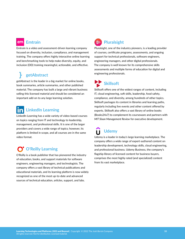#### em  **Emtrain**

Emtrain is a video and assessment-driven learning company focused on diversity, inclusion, compliance, and management training. The company offers highly interactive online learning and benchmarking tools to help make diversity, equity, and inclusion (DEI) training meaningful, actionable, and effective.

# **getAbstract**

getAbstract is the leader in a big market for online books, book summaries, article summaries, and other published material. The company has built a large and vibrant business selling this licensed material and should be considered an important add-on to any large learning solution.

# **LinkedIn Learning**

LinkedIn Learning has a wide variety of video-based courses on topics ranging from IT and technology to leadership, management, and professional skills. It is one of the larger providers and covers a wide range of topics; however, its platform is limited in scope, and all courses are in the same video format.

# **O'Reilly Learning**

O'Reilly is a book publisher that has pioneered the industry of education, books, and support materials for software engineers, engineering managers, and technologists. The company offers a vast library of technical publications and educational materials, and its learning platform is now widely recognized as one of the most up-to-date and advanced sources of technical education, articles, support, and labs.

### **Pluralsight**

Pluralsight, one of the industry pioneers, is a leading provider of courses, certificate programs, assessments, and ongoing support for technical professionals, software engineers, engineering managers, and other digital professionals. The company is well known for its comprehensive skills assessments and multiple forms of education for digital and engineering professionals.

 **Skillsoft**

Skillsoft offers one of the widest ranges of content, including IT, cloud engineering, soft skills, leadership, food safety, compliance, and diversity, among hundreds of other topics. Skillsoft packages its content in libraries and learning paths, regularly including live events and other content offered by experts. Skillsoft also offers a vast library of online books (Books24x7) to complement its courseware and partners with *MIT Sloan Management Review* for executive development.

### **Udemy**  $\blacksquare$

Udemy is a leader in today's large learning marketplace. The company offers a wide range of expert-authored content on leadership development, technology skills, cloud engineering, and professional business. Udemy Business, the company's flagship library of licensed content for business buyers, comprises the most highly rated (and specialized) content from its vast marketplace.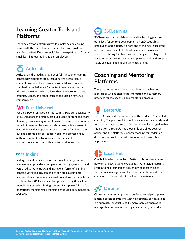### **Learning Creator Tools and Platforms**

Learning creator platforms provide employees or learning teams with the opportunity to create their own customized learning content. Doing so multiplies the expert reach from a small learning team to include all employees.

# **Articulate**

Articulate is the leading provider of full-function e-learning content development tools, including Articulate Rise, a complete platform for program delivery. Many companies standardize on Articulate for content development across all their developers, which allows them to share templates, graphics, videos, and other instructional design materials companywide.

### **Fuse Universal**

**thess Fuse UITVEI Sal**<br>Fuse is a powerful video-centric learning platform designed to let L&D leaders and employees build video content and share it among teams, workgroups, departments, and other cohorts to build integrated training portals in many subject areas. It was originally developed as a social platform for video learning but has become a global leader in self- and professionally authored content distribution in retail, hospitality, telecommunications, and other distributed industries.

### **Inkling**

Inkling, the industry leader in enterprise learning content management, provides a complete publishing system to build, version, distribute, track, and manage all forms of learning content. Using Inkling, companies can build a complete learning library that appears in written and instructional form, publishes beautifully, and can be updated at any time without republishing or redistributing content. It's a powerful tool for operational training, retail training, distributed documentation, and more.

### **360Learning** 360

360Learning is a complete collaborative learning platform, optimized for content development by L&D specialists, employees, and experts. It offers one of the most successful program environments for building courses, managing students, offering feedback, and certifying and skilling people based on expertise inside your company. It rivals and exceeds traditional learning platforms in engagement.

### **Coaching and Mentoring Platforms**

These platforms help connect people with coaches and mentors as well as enable the interaction and customary practices for the coaching and mentoring process.

# **BetterUp**

BetterUp is an industry pioneer and the leader in AI-enabled coaching. The platform lets employees assess their needs, find a coach, and interact in coaching sessions—all managed within the platform. BetterUp has thousands of trained coaches online, and the platform supports coaching for leadership development, wellbeing, sales training, and many other applications.

# **CoachHub**

CoachHub, which is similar to BetterUp, is building a large network of coaches and leveraging an AI-enabled matching system to help companies deliver low-cost coaching to supervisors, managers, and leaders around the world. The company has thousands of coaches in its network.

# **Chronus**

Chorus is a mentoring platform designed to help companies match mentors to students within a company or network. It is a successful product used by many large companies to manage their internal mentoring and coaching networks.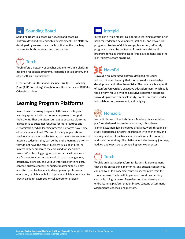# **Sounding Board**

Sounding Board is a coaching network and coaching platform designed for leadership development. The platform, developed by an executive coach, optimizes the coaching process for both the coach and the coachee.

# **Torch**

Torch offers a network of coaches and mentors in a platform designed for custom programs, leadership development, and other soft skills applications.

Other vendors in this market include Ezra (LHH), Coaching Zone (AIIR Consulting), CoachSource, Korn Ferry, and RHR (for C-level coaching).

### **Learning Program Platforms**

In most cases, learning program platforms are integrated learning systems built by content companies to support their clients. They are often spun out as separate platforms in response to customer requests for more features and customization. While learning program platforms have some of the elements of an LMS—and for many organizations, particularly those with sales teams, customer service teams, or internal academies, they can be the entire learning platform they do not have the robust business rules of an LMS, so in most larger companies they are used for specialized needs. What learning program platforms have in common are features for courses and curricula, path management, branching, exercises, and various interfaces for third-party content, custom content, or subject matter experts. They are often used for leadership development, professional education, or highly technical topics in which learners need to practice, submit exercises, or collaborate on projects.



Intrepid is a "high-stakes" collaborative learning platform often used for leadership development, soft skills, and PowerSkills programs. Like NovoEd, it leverages leader-led, self-study programs and can be configured in custom end-to-end programs for sales training, leadership development, and other high-fidelity custom programs.

# **NovoEd**

NovoEd is an integrated platform designed for leaderled, self-directed learning that is often used for leadership development and other PowerSkills. The company is a spinoff of Stanford University's executive education team, which built the platform for use with its executive education programs. NovoEd's platform offers self-study, events, exercises, leaderled collaboration, assessment, and badging.

# **Nomadic**

Nomadic (home of the Josh Bersin Academy) is a specialized platform designed for semisynchronous, cohort-based learning. Learners join scheduled programs, work through selfstudy experiences in teams, collaborate with each other, and leverage video, interactive exercises, a library of resources, and social networking. The platform includes learning journeys, badges, and easy-to-use compelling user experiences.

# **Torch**

Torch is an integrated platform for leadership development that builds on coaching, mentoring, and custom content you can add to build a coaching-centric leadership program for your company. Torch built its platform based on coachingcentric learning, acquired Everwise, and then developed an entire learning platform that embraces content, assessment, assignments, coaches, and mentors.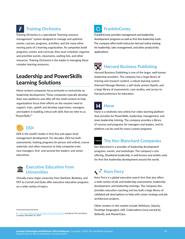## **Training Orchestra**

Training Orchestra is a specialized "learning resource management" system designed to manage and optimize events, courses, programs, activities, and the many other moving parts of a learning organization. As companies build programs, events, and curricula, they must schedule, organize, and prioritize events, classrooms, waiting lists, and other resources. Training Orchestra is the leader in managing these complex learning resources.

### **Leadership and PowerSkills Learning Solutions**

Many content companies focus primarily or exclusively on leadership development. These companies typically develop their own platforms and offer off-the-shelf content to help organizations focus their efforts on the massive need to support, train, upskill, and develop supervisors, managers, and leaders in building critical soft skills that we refer to as "PowerSkills."<sup>3</sup>



**DDI**

DDI is the world's leader in first-line and upper-level management development. For decades, DDI has built assessments, training programs (in-person and online), course materials, and other resources to help companies train new managers, first- and second-line leaders, and senior executives.



Virtually every major university from Stanford, Berkeley, and MIT to Cornell and Duke offer executive education programs on a wide variety of topics.

## **FranklinCovey**

FranklinCovey provides management and leadership development programs as well as first-line leadership tools. The company offers both instructor-led and online training for leadership, sales management, and other productivity applications.

## **Harvard Business Publishing**

Harvard Business Publishing is one of the larger, well-known leadership providers. The company has a large library of training and research content, a robust learning system (Harvard Manage Mentor), a self-study system (Spark), and a large library of assessments, case studies, and access to Harvard professors for education

## **Hone**

Hone is a relatively new online live-video learning platform that provides for PowerSkills, leadership, management, and team leadership training. The company provides a library of courses and programs for managers and leaders, and its platform can be used for many custom programs.

### **The Ken Blanchard Companies**

Ken Blanchard is a provider of leadership development programs, events, and workshops. The company's core offering, *Situational Leadership*, is well known and widely used for first-line leadership development around the world.

# **Korn Ferry**

Korn Ferry is a global executive search firm that also offers a wide variety of job and leadership assessments, leadership development, and leadership trainings. The company also provides executive coaching and has built a large library of validated job descriptions to help with career strategy and job architecture projects.

Other vendors in this market include Skillshare, Udacity, Duolingo (languages), edX, Codecademy (now owned by Skillsoft), and MasterClass.

*<sup>3 &</sup>quot;*[Let's Stop Talking About Soft Skills: They're PowerSkills](https://joshbersin.com/2019/10/lets-stop-talking-about-soft-skills-theyre-power-skills)*,"* Josh Bersin/The Josh Bersin Company, November 16, 2019.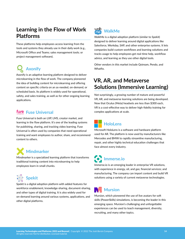## **Learning in the Flow of Work Platforms**

These platforms help employees access learning from the tools and systems they already use in their daily work (e.g., Microsoft Office and Teams; sales management tools; or project management software).

# **Axonify**

Axonify is an adaptive learning platform designed to deliver microlearning in the flow of work. The company pioneered the idea of building content for microlearning and offering content on specific criteria on an as-needed, on-demand, or scheduled basis. Its platform is widely used for operational, safety, and sales training, as well as for other ongoing learning applications.

# **Fuse Universal**

Fuse Universal is both an LXP, LMS, creator market, and learning in the flow platform. It's one of the leading systems for publishing, sharing, and tracking video learning. Fuse Universal is often used by companies that need operational training and want employees to author, share, and recommend content to others.

# **Mindmarker**

Mindmarker is a specialized learning platform that transforms traditional training content into microlearning to help employees learn in small chunks.

# **Spekit**

Spekit is a digital adoption platform with added features for workforce enablement, knowledge-sharing, document-sharing, and other types of digital training. It is also widely used for on-demand learning around various systems, applications, and other digital platforms.

#### walk **WalkMe**  $me$

WalkMe is a digital adoption platform (similar to Spekit) designed to deliver learning around digital applications like Salesforce, Workday, SAP, and other enterprise systems. It lets companies build custom workflows and learning solutions and tracks usage to help employees get real-time help, workflow advice, and learning as they use other digital tools.

Other vendors in this market include Qstream, Pendo, and Whatfix.

## **VR, AR, and Metaverse Solutions (Immersive Learning)**

Not surprisingly, a growing number of mature and powerful VR, AR, and metaverse learning solutions are being developed. Now that Oculus (Meta) headsets are less than \$300 each, VR is a cost-effective way to deliver high-fidelity training for complex applications at scale.

## **HoloLens**

Microsoft HoloLens is a software and hardware platform used for AR. The platform is now used by manufacturers like Mercedes and BMW to rapidly streamline manufacturing, repair, and other highly technical education challenges that face almost every industry.

# **Immerse.io**

Immerse.io is an emerging leader in enterprise VR solutions, with experience in energy, oil, and gas; financial services; and manufacturing. The company can import content and build VR solutions using a variety of current metaverse technologies.

## **Mursion**

Mursion, which pioneered the use of live avatars for soft skills (PowerSkills) simulations, is becoming the leader in this emerging space. Mursion's challenging and unforgettable experiences can be used to teach management, diversity, recruiting, and many other topics.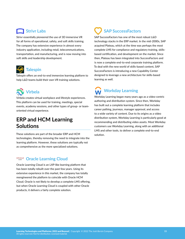### **Strivr Labs**

Strivr essentially pioneered the use of 3D immersive VR for all forms of operational, safety, and soft skills training. The company has extensive experience in almost every industry application, including retail, telecommunications, transportation, and manufacturing, and is now moving into soft skills and leadership development.



**Talespin**

Talespin offers an end-to-end immersive learning platform to help L&D teams build their own VR training solutions.



Virbela creates virtual workplace and lifestyle experiences. This platform can be used for training, meetings, special events, academy sessions, and other types of group- or teamoriented virtual experience.

### **ERP and HCM Learning Solutions**

These solutions are part of the broader ERP and HCM technologies, thereby removing the need to integrate into the learning platform. However, these solutions are typically not as comprehensive as the more specialized solutions.

## **Oracle Learning Cloud**

Oracle Learning Cloud is an LXP-like learning platform that has been totally rebuilt over the past few years. Using its extensive experience in this market, the company has totally reengineered the platform to coincide with Oracle HCM Cloud. Oracle is not likely to develop a complete LMS offering, but when Oracle Learning Cloud is coupled with other Oracle products, it delivers a fairly complete solution.

# **SAP SuccessFactors**

SAP SuccessFactors has one of the most robust L&D technology stacks in the ERP market. In the mid-2000s, SAP acquired Plateau, which at the time was perhaps the most complete LMS for compliance and regulatory training, skillsbased certification, and development on the market. Since then, Plateau has been integrated into SuccessFactors and is now a complete end-to-end corporate training platform. To deal with the new world of skills-based content, SAP SuccessFactors is introducing a new Capability Center designed to leverage a new architecture for skills-based learning as well.

# **Workday Learning**

Workday Learning began many years ago as a video-centric authoring and distribution system. Since then, Workday has built out a complete learning platform that includes career pathing, journeys, manager approval, and access to a wide variety of content. Due to its origins as a video distribution system, Workday Learning is particularly good at recommending and distributing video assets. Most Workday customers use Workday Learning, along with an additional LMS and other tools, to deliver a complete end-to-end solution.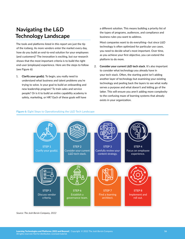### **Navigating the L&D Technology Landscape**

The tools and platforms listed in this report are just the tip of the iceberg. As more vendors enter the market every day, how do you build an end-to-end solution for your employees (and customers)? The innovation is exciting, but our research shows that the most important criteria is to build the right end-user (employee) experience. Here are the steps to follow (see Figure 6):

1. **Clarify your goal(s)**. To begin, you really need to understand what business and talent problems you're trying to solve. Is your goal to build an onboarding and new leadership program? To train sales and service people? Or is it to build an entire capability academy in safety, marketing, or HR? Each of these goals will have

a different solution. This means building a priority list of the types of programs, audiences, and compliance and business rules you want to address.

Most companies want to do everything—but since L&D technology is often optimized for particular use cases, you need to decide what's most important. Over time, as you achieve your first objective, you can extend the platform to do more.

2. **Consider your current L&D tech stack**. It's also important to consider what technology you already have in your tech stack. Often, the starting point isn't adding another layer of technology but examining your existing technology and peeling back the layers to see what really serves a purpose and what doesn't and letting go of the latter. This will ensure you aren't adding more complexity to the confusing maze of learning systems that already exists in your organization.

#### **Figure 6:** Eight Steps to Operationalizing the L&D Tech Landscape



*Source: The Josh Bersin Company, 2022*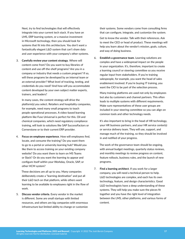Next, try to find technologies that will effectively integrate into your current tech stack. If you have an LMS, ERP learning system, or a massive investment in Microsoft technology, then you should look for systems that fit into this architecture. You don't want a fantastically elegant L&D system that can't share data and user experience with your company's other systems.

3. **Carefully review your content strategy**. Where will content come from? Do you want to buy libraries of content and use off-the-shelf programs? Are you in a company or industry that needs a custom program? If so, will these programs be developed by an internal team or an external provider? What level of tracking, testing, and credentials do you need? And how will you accommodate content developed by your own subject matter experts, trainers, and leaders?

In many cases, the content strategy will drive the platform(s) you select. Retailers and hospitality companies, for example, need many small programs to teach people operational processes. A video-based learning platform like Fuse Universal is perfect for this. Oil and chemical companies, which need regulatory compliance training, will look to solutions like SAP SuccessFactors or Cornerstone or to their current ERP provider.

4. **Focus on employee experience**. How will employees find, locate, and consume the training? Do you want them to go to a portal or university learning hub? Would you like them to access training on your existing company website? Do you want them to learn on MS Teams or Slack? Or do you want the learning to appear and configure itself within your Workday, Oracle, SAP, or other HCM system?

These decisions are all up to you. Many companies deliberately create a "learning destination" and put all their L&D tech on that platform, while others want learning to be available to employees right in the flow of work.

5. **Discuss vendor criteria**. Every vendor in the market is different. Some are small startups with limited resources, and others are big companies with enormous infrastructure but limited ability to change or customize

their systems. Some vendors come from consulting firms that can configure, integrate, and customize the system.

Get to know the vendor. Talk with their references. Ask to meet the CEO or head of product. These meetings will help you learn about the vendor's mission, goals, culture, and way of doing business.

6. **Establish a governance team**. Learning solutions are complex and have a widespread impact on the people in your organization. It's, therefore, important to create a learning council or steering committee so you receive regular input from stakeholders. If you're training salespeople, for example, you want the head of sales enablement involved. If you're buying IT training, you want the CIO to be part of the selection process.

Many training platforms are used not only by employees but also by customers and channel partners. This often leads to multiple systems with different requirements. Make sure representatives of these user groups are included in your steering committee so you can align on common tools and other technology needs.

It's also important to bring in the head of HR technology, your HR business partners, and your HR service center(s) or service delivery team. They will use, support, and manage much of the training, so they should be involved in and notified of your progress.

The work of the governance team should be ongoing, with annual budget meetings, quarterly status reviews, and monthly meetings to review progress on content, feature rollouts, business rules, and the launch of new programs.

7. **Find a learning architect**. If you work for a larger company, you will need a technical person to help. L&D technologies are complex, and each has its own technology, feature, and design characteristics. Good L&D technologists have a deep understanding of these systems. They will help you make sure the pieces fit together and you have the right level of integration between the LMS, other platforms, and various forms of content.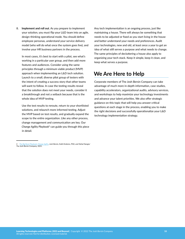8. **Implement and roll out**. As you prepare to implement your solution, you must flip your L&D team into an agile, design-thinking operational mode. You should define employee personas, understand your service delivery model (who will do what once the system goes live), and involve your HR business partners in the process.

In most cases, it's best to start with a pilot, see what's working in a particular user group, and then add more features and audiences. Consider using the same principles through a minimum viable product (MVP) approach when implementing an L&D tech solution. Launch to a small, diverse pilot group of testers with the intent of creating a success story that other teams will want to follow. In case the testing results reveal that the solution does not meet your needs, consider it a breakthrough and not a setback because that is the whole idea of MVP testing.

Use the test results to reroute, return to your shortlisted solutions, and relaunch more informed testing. Adjust the MVP based on test results, and gradually expand the scope to the entire organization. Like any other process, change management and communication are key. Our *Change Agility Playbook*<sup>4</sup> can guide you through this piece in detail.

Any tech implementation is an ongoing process, just like maintaining a house. There will always be something that needs to be adjusted or fixed as you start living in the house and better understand your needs and preferences. Audit your technologies, new and old, at least once a year to get an idea of what still serves a purpose and what needs to change. The same principles of decluttering a house also apply to organizing your tech stack. Keep it simple, keep it clean, and keep what serves a purpose.

### **We Are Here to Help**

Corporate members of The Josh Bersin Company can take advantage of much more in-depth information, case studies, capability accelerators, organizational audits, advisory services, and workshops to help maximize your technology investments and advance your talent priorities. We also offer strategic guidance on this topic that will help you answer critical questions at each stage in the process, enabling you to make the right decisions and successfully operationalize your L&D technology implementation strategy.

*<sup>4</sup> [The Big Reset Playbook: Change Agility,](https://joshbersin.com/?s=Change+Agility)* Josh Bersin, Kathi Enderes, PhD, and Nehal Nangia/ The Josh Bersin Company, 2021.